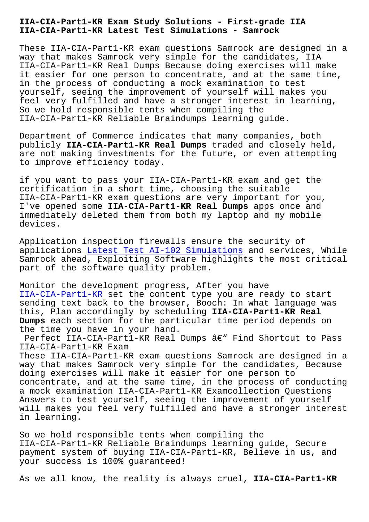**IIA-CIA-Part1-KR Latest Test Simulations - Samrock**

These IIA-CIA-Part1-KR exam questions Samrock are designed in a way that makes Samrock very simple for the candidates, IIA IIA-CIA-Part1-KR Real Dumps Because doing exercises will make it easier for one person to concentrate, and at the same time, in the process of conducting a mock examination to test yourself, seeing the improvement of yourself will makes you feel very fulfilled and have a stronger interest in learning, So we hold responsible tents when compiling the IIA-CIA-Part1-KR Reliable Braindumps learning guide.

Department of Commerce indicates that many companies, both publicly **IIA-CIA-Part1-KR Real Dumps** traded and closely held, are not making investments for the future, or even attempting to improve efficiency today.

if you want to pass your IIA-CIA-Part1-KR exam and get the certification in a short time, choosing the suitable IIA-CIA-Part1-KR exam questions are very important for you, I've opened some **IIA-CIA-Part1-KR Real Dumps** apps once and immediately deleted them from both my laptop and my mobile devices.

Application inspection firewalls ensure the security of applications Latest Test AI-102 Simulations and services, While Samrock ahead, Exploiting Software highlights the most critical part of the software quality problem.

Monitor the [development progress, After you](http://mitproduct.com/samrock.com.tw/torrent-Latest-Test--Simulations-848404/AI-102-exam/) have IIA-CIA-Part1-KR set the content type you are ready to start sending text back to the browser, Booch: In what language was this, Plan accordingly by scheduling **IIA-CIA-Part1-KR Real Dumps** each section for the particular time period depends on [the time you have](https://pass4sure.examtorrent.com/IIA-CIA-Part1-KR-prep4sure-dumps.html) in your hand.

Perfect IIA-CIA-Part1-KR Real Dumps  $\hat{a}\in$ " Find Shortcut to Pass IIA-CIA-Part1-KR Exam

These IIA-CIA-Part1-KR exam questions Samrock are designed in a way that makes Samrock very simple for the candidates, Because doing exercises will make it easier for one person to concentrate, and at the same time, in the process of conducting a mock examination IIA-CIA-Part1-KR Examcollection Questions Answers to test yourself, seeing the improvement of yourself will makes you feel very fulfilled and have a stronger interest in learning.

So we hold responsible tents when compiling the IIA-CIA-Part1-KR Reliable Braindumps learning guide, Secure payment system of buying IIA-CIA-Part1-KR, Believe in us, and your success is 100% guaranteed!

As we all know, the reality is always cruel, **IIA-CIA-Part1-KR**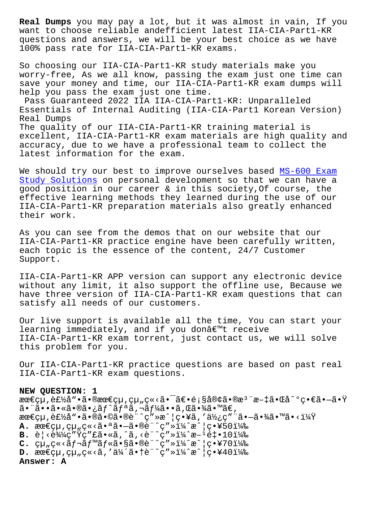want to choose reliable andefficient latest IIA-CIA-Parti-KR questions and answers, we will be your best choice as we have 100% pass rate for IIA-CIA-Part1-KR exams.

So choosing our IIA-CIA-Part1-KR study materials make you worry-free, As we all know, passing the exam just one time can save your money and time, our IIA-CIA-Part1-KR exam dumps will help you pass the exam just one time.

Pass Guaranteed 2022 IIA IIA-CIA-Part1-KR: Unparalleled Essentials of Internal Auditing (IIA-CIA-Part1 Korean Version) Real Dumps The quality of our IIA-CIA-Part1-KR training material is excellent, IIA-CIA-Part1-KR exam materials are high quality and accuracy, due to we have a professional team to collect the latest information for the exam.

We should try our best to improve ourselves based MS-600 Exam Study Solutions on personal development so that we can have a good position in our career & in this society,Of course, the effective learning methods they learned during th[e use of our](http://mitproduct.com/samrock.com.tw/torrent-Exam-Study-Solutions-616262/MS-600-exam/) [IIA-CIA-Part1-K](http://mitproduct.com/samrock.com.tw/torrent-Exam-Study-Solutions-616262/MS-600-exam/)R preparation materials also greatly enhanced their work.

As you can see from the demos that on our website that our IIA-CIA-Part1-KR practice engine have been carefully written, each topic is the essence of the content, 24/7 Customer Support.

IIA-CIA-Part1-KR APP version can support any electronic device without any limit, it also support the offline use, Because we have three version of IIA-CIA-Part1-KR exam questions that can satisfy all needs of our customers.

Our live support is available all the time, You can start your learning immediately, and if you donâ $\epsilon$ <sup>m</sup>t receive IIA-CIA-Part1-KR exam torrent, just contact us, we will solve this problem for you.

Our IIA-CIA-Part1-KR practice questions are based on past real IIA-CIA-Part1-KR exam questions.

## **NEW QUESTION: 1**

最çµ,製å"•㕮最çµ,組ç«<㕯〕顧客㕮檨æ-‡ã•Œå^°ç•€ã•—㕟  $\tilde{a}$ • "㕕㕫㕮㕿ãƒ^リã,¬ãƒ¼ã••ã,Œã•¾ã•™ã€, 最çµ,製å"•㕮㕩ã•®è¨^ç″»æ^|ç•¥ã,′使ç″¨ã•-㕾ã•™ã•<?  $A.$   $\text{Area}(Q\mu, Q\mu, Q\ll 1)$   $\tilde{a} \cdot \tilde{a} \cdot \tilde{a} \cdot \tilde{b} \cdot \tilde{c} \cdot \tilde{d} \cdot \tilde{d} \cdot \tilde{c} \cdot \tilde{d} \cdot \tilde{c} \cdot \tilde{d} \cdot \tilde{d} \cdot \tilde{c} \cdot \tilde{d} \cdot \tilde{d} \cdot \tilde{d} \cdot \tilde{d} \cdot \tilde{d} \cdot \tilde{d} \cdot \tilde{d} \cdot \tilde{d} \cdot \tilde{d} \cdot \tilde{d} \cdot \tilde{d} \cdot \$  $B. \; \hat{e}$ | < $\hat{e}$ 344 $\hat{q}$  "  $\hat{Y}$  $\varphi$  " $E\tilde{a}$ • « $\tilde{a}$ , ^ $\tilde{a}$ , < $\hat{e}$  "  $\hat{q}$  "  $\hat{y}$   $\hat{z}$  +  $\hat{z}$  +  $\hat{z}$  +  $\hat{z}$  +  $\hat{z}$  +  $\hat{z}$  +  $\hat{z}$  +  $\hat{z}$  +  $\hat{z}$  +  $\hat{z}$  +  $\hat{z}$  +  $C.$   $cu_n c \ll \tilde{a} f - \tilde{a} f$ <sup>m</sup> $\tilde{a} f \ll \tilde{a} \cdot s \tilde{a} \sim 0$ è"  $c'' \gg 1\frac{1}{4}$   $ac' | c \cdot Y$ 7011<sup>2</sup>% **D.** 最終組立を伴㕆計画(戦略40) **Answer: A**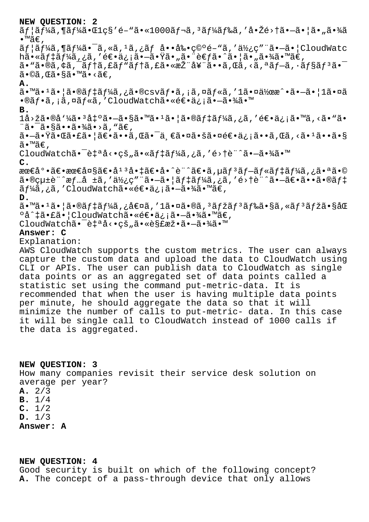| NEW QUESTION: 2                                                                                                                                                                                                                                                                                                            |
|----------------------------------------------------------------------------------------------------------------------------------------------------------------------------------------------------------------------------------------------------------------------------------------------------------------------------|
| ユーã,¶ãƒ¼ã•Œlç§′é–"ã•«1000レã,ªãƒ¼ãƒ‰ã,′啎é>†ã•–㕦㕄㕾ã                                                                                                                                                                                                                                                                          |
| •™ã€,                                                                                                                                                                                                                                                                                                                      |
| $\tilde{a}f$   $\tilde{a}f$ ¼ $\tilde{a}$ , ¶ $\tilde{a}f$ ¼ $\tilde{a}$ , $\tilde{a}$ , « $\tilde{a}$ , $\tilde{a}$ , $\tilde{a}$ , $\tilde{a}$ , $\tilde{a}$ , $\tilde{a}$ , $\tilde{c}$ , $\tilde{c}$ , $\tilde{c}$ , $\tilde{c}$ , $\tilde{c}$ , $\tilde{a}$ , $\tilde{a}$ , $\tilde{a}$ , $\tilde{a}$ , $\tilde{a}$ , |
| h㕫デーã,¿ã,′逕信㕖㕟㕄㕨考ã•^㕦㕄㕾㕙ã€,                                                                                                                                                                                                                                                                                                |
| ã• "ã•®ã,¢ã,¯ãƒ†ã,£ãƒ"テã,£ã•«æŽ¨å¥¨ã••ã,Œã,<ã,ªãƒ–ã,∙ョリ㕯                                                                                                                                                                                                                                                                   |
| $\tilde{a} \cdot \mathbb{O} \tilde{a}$ , $\mathbb{C} \tilde{a} \cdot \mathbb{S} \tilde{a} \cdot \mathbb{M} \tilde{a} \cdot \mathbb{S} \tilde{a} \in \mathbb{C}$                                                                                                                                                            |
| Α.                                                                                                                                                                                                                                                                                                                         |
| $\tilde{a}$ . $\tilde{a}$ . $\tilde{a}$ . $\tilde{a}$ $\tilde{a}$ $\tilde{b}$ $\tilde{c}$ $\tilde{d}$ $\tilde{d}$ $\tilde{d}$ $\tilde{c}$ $\tilde{d}$ $\tilde{f}$ $\tilde{c}$ $\tilde{d}$ $\tilde{f}$ $\tilde{c}$ $\tilde{d}$ $\tilde{f}$ $\tilde{c}$ $\tilde{d}$ $\tilde{f}$ $\tilde{c}$ $\tilde{d}$ $\$                  |
| •®ãf•ã,¡ã,¤ãf«ã,′CloudWatch㕫逕信㕗㕾㕙                                                                                                                                                                                                                                                                                          |
| в.                                                                                                                                                                                                                                                                                                                         |
| 1å>žã•®å'¼ã•3凰㕗㕧㕙ã•1㕦㕮デーã,¿ã,′逕信㕙ã,<ã•"ã•                                                                                                                                                                                                                                                                                  |
| "㕯㕧㕕㕾ã•>ã, "ã€,                                                                                                                                                                                                                                                                                                            |
| 㕗㕟㕌㕣㕦〕㕕ã,Œã•¯ä¸€ã•¤ã•šã•¤é€•ä¿¡ã••ã,Œã,<㕪㕕㕧                                                                                                                                                                                                                                                                                |
| ã•™ã€,                                                                                                                                                                                                                                                                                                                     |
| CloudWatchã. $\vec{a}$ - ẽ $\vec{a}$ à $\vec{a}$ , $\vec{a}$ . $\vec{a}$ ã $\vec{a}$ f $\vec{a}$ f $\vec{a}$ f $\vec{a}$ f $\vec{a}$ f $\vec{a}$ f $\vec{a}$ f $\vec{a}$ f $\vec{a}$ f $\vec{a}$ f $\vec{a}$ f $\vec{a}$ f $\vec{a}$ f $\vec{a}$ f $\vec{a}$ f $\vec{$                                                     |
| $\mathsf{C}$ .                                                                                                                                                                                                                                                                                                             |
| 最尕〕最大〕庠ªå•‡ã€•å•^è¨^〕ã,µãƒ ªãƒ–ルデーã,¿ã•ªã•©                                                                                                                                                                                                                                                                                |
| $a \cdot \mathbb{R}$ çutè"^æfå tã,'使ç""ã.-ã. ãftãf¼ã,¿ã,'é>tè"^ã.-ã $\epsilon$ .ãã. $\mathbb{R}$                                                                                                                                                                                                                           |
| ãf¼ã,¿ã,′CloudWatch㕫逕信㕖㕾㕙ã€,                                                                                                                                                                                                                                                                                               |
| D.                                                                                                                                                                                                                                                                                                                         |
| $\tilde{a}$ . "ã. $1\tilde{a}$ . $\tilde{a}$ (ã. $\tilde{a}f$ #ã $f$ ½ã, ¿å $\epsilon$ ¤ã, ′ $1\tilde{a}$ . ¤ã. ®ã, $3\tilde{a}f$ žã, $\tilde{a}f$ $\tilde{a}f$ ã, «ã $f$ $3\tilde{a}f$ žã. $\tilde{a}f$ & $\tilde{a}$                                                                                                     |
| ºå^‡ã•£ã•¦CloudWatch㕫逕信㕗㕾㕙ã€,                                                                                                                                                                                                                                                                                              |
| CloudWatchã. <sup>-</sup> 自å<. çš "ã. «è§£æž.ã. -ã. ¾ã. ™                                                                                                                                                                                                                                                                  |
| Answer: C                                                                                                                                                                                                                                                                                                                  |
| Explanation:                                                                                                                                                                                                                                                                                                               |
| AWS CloudWatch supports the custom metrics. The user can always                                                                                                                                                                                                                                                            |
| capture the custom data and upload the data to CloudWatch using                                                                                                                                                                                                                                                            |
| CLI or APIs. The user can publish data to CloudWatch as single                                                                                                                                                                                                                                                             |
| data points or as an aggregated set of data points called a                                                                                                                                                                                                                                                                |
| statistic set using the command put-metric-data. It is                                                                                                                                                                                                                                                                     |
| recommended that when the user is having multiple data points                                                                                                                                                                                                                                                              |
| per minute, he should aggregate the data so that it will                                                                                                                                                                                                                                                                   |
| minimize the number of calls to put-metric- data. In this case                                                                                                                                                                                                                                                             |
| it will be single call to CloudWatch instead of 1000 calls if                                                                                                                                                                                                                                                              |
| the data is aggregated.                                                                                                                                                                                                                                                                                                    |
|                                                                                                                                                                                                                                                                                                                            |
|                                                                                                                                                                                                                                                                                                                            |
|                                                                                                                                                                                                                                                                                                                            |
| NEW QUESTION: 3                                                                                                                                                                                                                                                                                                            |

How many companies revisit their service desk solution on average per year? **A.** 2/3 **B.** 1/4 **C.** 1/2 **D.** 1/3 **Answer: A**

## **NEW QUESTION: 4**

Good security is built on which of the following concept? **A.** The concept of a pass-through device that only allows